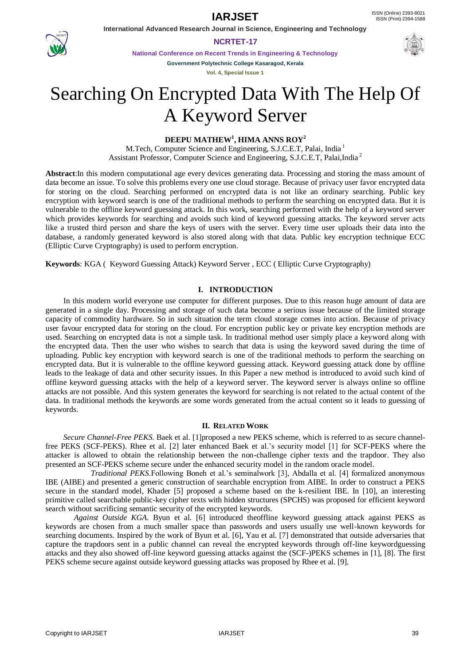**International Advanced Research Journal in Science, Engineering and Technology**



**NCRTET-17**

**National Conference on Recent Trends in Engineering & Technology Government Polytechnic College Kasaragod, Kerala**

**Vol. 4, Special Issue 1**

# Searching On Encrypted Data With The Help Of A Keyword Server

## **DEEPU MATHEW<sup>1</sup> , HIMA ANNS ROY<sup>2</sup>**

M.Tech, Computer Science and Engineering, S.J.C.E.T, Palai, India <sup>1</sup> Assistant Professor, Computer Science and Engineering, S.J.C.E.T, Palai,India <sup>2</sup>

**Abstract**:In this modern computational age every devices generating data. Processing and storing the mass amount of data become an issue. To solve this problems every one use cloud storage. Because of privacy user favor encrypted data for storing on the cloud. Searching performed on encrypted data is not like an ordinary searching. Public key encryption with keyword search is one of the traditional methods to perform the searching on encrypted data. But it is vulnerable to the offline keyword guessing attack. In this work, searching performed with the help of a keyword server which provides keywords for searching and avoids such kind of keyword guessing attacks. The keyword server acts like a trusted third person and share the keys of users with the server. Every time user uploads their data into the database, a randomly generated keyword is also stored along with that data. Public key encryption technique ECC (Elliptic Curve Cryptography) is used to perform encryption.

**Keywords**: KGA ( Keyword Guessing Attack) Keyword Server , ECC ( Elliptic Curve Cryptography)

### **I. INTRODUCTION**

In this modern world everyone use computer for different purposes. Due to this reason huge amount of data are generated in a single day. Processing and storage of such data become a serious issue because of the limited storage capacity of commodity hardware. So in such situation the term cloud storage comes into action. Because of privacy user favour encrypted data for storing on the cloud. For encryption public key or private key encryption methods are used. Searching on encrypted data is not a simple task. In traditional method user simply place a keyword along with the encrypted data. Then the user who wishes to search that data is using the keyword saved during the time of uploading. Public key encryption with keyword search is one of the traditional methods to perform the searching on encrypted data. But it is vulnerable to the offline keyword guessing attack. Keyword guessing attack done by offline leads to the leakage of data and other security issues. In this Paper a new method is introduced to avoid such kind of offline keyword guessing attacks with the help of a keyword server. The keyword server is always online so offline attacks are not possible. And this system generates the keyword for searching is not related to the actual content of the data. In traditional methods the keywords are some words generated from the actual content so it leads to guessing of keywords.

### **II. RELATED WORK**

*Secure Channel-Free PEKS*. Baek et al. [1]proposed a new PEKS scheme, which is referred to as secure channelfree PEKS (SCF-PEKS). Rhee et al. [2] later enhanced Baek et al."s security model [1] for SCF-PEKS where the attacker is allowed to obtain the relationship between the non-challenge cipher texts and the trapdoor. They also presented an SCF-PEKS scheme secure under the enhanced security model in the random oracle model.

 *Traditional PEKS*.Following Boneh et al."s seminalwork [3], Abdalla et al. [4] formalized anonymous IBE (AIBE) and presented a generic construction of searchable encryption from AIBE. In order to construct a PEKS secure in the standard model, Khader [5] proposed a scheme based on the k-resilient IBE. In [10], an interesting primitive called searchable public-key cipher texts with hidden structures (SPCHS) was proposed for efficient keyword search without sacrificing semantic security of the encrypted keywords.

*Against Outside KGA*. Byun et al. [6] introduced theoffline keyword guessing attack against PEKS as keywords are chosen from a much smaller space than passwords and users usually use well-known keywords for searching documents. Inspired by the work of Byun et al. [6], Yau et al. [7] demonstrated that outside adversaries that capture the trapdoors sent in a public channel can reveal the encrypted keywords through off-line keywordguessing attacks and they also showed off-line keyword guessing attacks against the (SCF-)PEKS schemes in [1], [8]. The first PEKS scheme secure against outside keyword guessing attacks was proposed by Rhee et al. [9].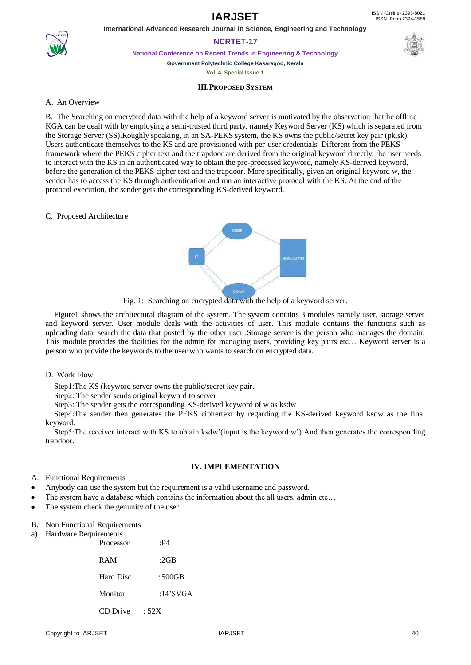

## **International Advanced Research Journal in Science, Engineering and Technology NCRTET-17**

**National Conference on Recent Trends in Engineering & Technology**

**Government Polytechnic College Kasaragod, Kerala Vol. 4, Special Issue 1**

## **III.PROPOSED SYSTEM**

## A. An Overview

B. The Searching on encrypted data with the help of a keyword server is motivated by the observation thatthe offline KGA can be dealt with by employing a semi-trusted third party, namely Keyword Server (KS) which is separated from the Storage Server (SS).Roughly speaking, in an SA-PEKS system, the KS owns the public/secret key pair (pk,sk). Users authenticate themselves to the KS and are provisioned with per-user credentials. Different from the PEKS framework where the PEKS cipher text and the trapdoor are derived from the original keyword directly, the user needs to interact with the KS in an authenticated way to obtain the pre-processed keyword, namely KS-derived keyword, before the generation of the PEKS cipher text and the trapdoor. More specifically, given an original keyword w, the sender has to access the KS through authentication and run an interactive protocol with the KS. At the end of the protocol execution, the sender gets the corresponding KS-derived keyword.

### C. Proposed Architecture



Fig. 1: Searching on encrypted data with the help of a keyword server.

Figure1 shows the architectural diagram of the system. The system contains 3 modules namely user, storage server and keyword server. User module deals with the activities of user. This module contains the functions such as uploading data, search the data that posted by the other user .Storage server is the person who manages the domain. This module provides the facilities for the admin for managing users, providing key pairs etc… Keyword server is a person who provide the keywords to the user who wants to search on encrypted data.

### D. Work Flow

Step1:The KS (keyword server owns the public/secret key pair.

Step2: The sender sends original keyword to server

Step3: The sender gets the corresponding KS-derived keyword of w as ksdw

Step4:The sender then generates the PEKS ciphertext by regarding the KS-derived keyword ksdw as the final keyword.

Step5:The receiver interact with KS to obtain ksdw"(input is the keyword w") And then generates the corresponding trapdoor.

### **IV. IMPLEMENTATION**

- A. Functional Requirements
- Anybody can use the system but the requirement is a valid username and password.
- The system have a database which contains the information about the all users, admin etc…
- The system check the genunity of the user.
- B. Non Functional Requirements
- a) Hardware Requirements

| Processor  | P4       |
|------------|----------|
| <b>RAM</b> | :2GB     |
| Hard Disc  | : 500GB  |
| Monitor    | :14'SVGA |
| CD Drive   | :52X     |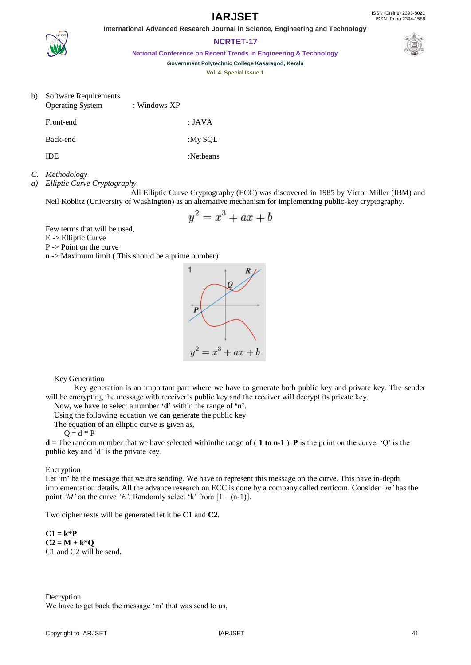**International Advanced Research Journal in Science, Engineering and Technology NCRTET-17**

**National Conference on Recent Trends in Engineering & Technology**

**Government Polytechnic College Kasaragod, Kerala**

**Vol. 4, Special Issue 1**

## b) Software Requirements

| <b>Operating System</b> | : Windows- $XP$ |           |
|-------------------------|-----------------|-----------|
| Front-end               |                 | : JAVA    |
| Back-end                |                 | :My SOL   |
| IDE                     |                 | :Netbeans |
|                         |                 |           |

## *C. Methodology*

*a) Elliptic Curve Cryptography*

All Elliptic Curve Cryptography (ECC) was discovered in 1985 by Victor Miller (IBM) and Neil Koblitz (University of Washington) as an alternative mechanism for implementing public-key cryptography.

$$
y^2 = x^3 + ax + b
$$

Few terms that will be used,

- E -> Elliptic Curve
- P -> Point on the curve

n -> Maximum limit ( This should be a prime number)



## Key Generation

Key generation is an important part where we have to generate both public key and private key. The sender will be encrypting the message with receiver's public key and the receiver will decrypt its private key.

Now, we have to select a number **'d'** within the range of **'n'**.

Using the following equation we can generate the public key

The equation of an elliptic curve is given as,

 $Q = d * P$ 

**d** = The random number that we have selected withinthe range of (**1 to n-1**). **P** is the point on the curve. 'Q' is the public key and "d" is the private key.

### **Encryption**

Let 'm' be the message that we are sending. We have to represent this message on the curve. This have in-depth implementation details. All the advance research on ECC is done by a company called certicom. Consider *'m'* has the point '*M*' on the curve '*E*'. Randomly select 'k' from  $[1 - (n-1)]$ .

Two cipher texts will be generated let it be **C1** and **C2**.

**C1 = k\*P C2 = M + k\*Q** C1 and C2 will be send.



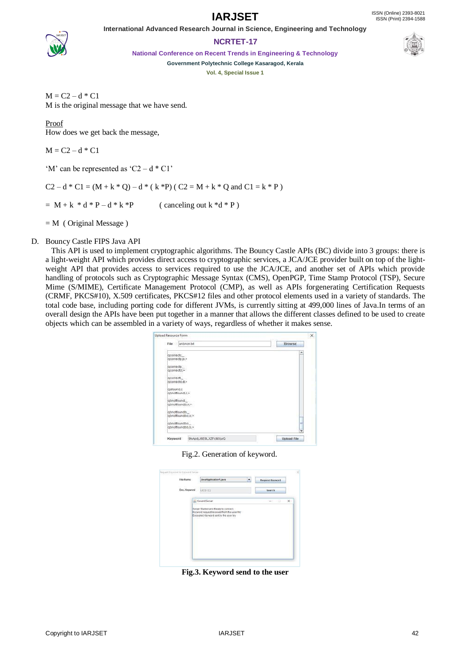

## **NCRTET-17**

**National Conference on Recent Trends in Engineering & Technology**



**Government Polytechnic College Kasaragod, Kerala**

**Vol. 4, Special Issue 1**

 $M = C2 - d * C1$ M is the original message that we have send.

Proof How does we get back the message,

 $M = C2 - d * C1$ 

'M' can be represented as 'C2 –  $d * Cl'$ 

 $C2 - d * C1 = (M + k * Q) - d * (k * P) (C2 = M + k * Q$  and  $C1 = k * P$ 

 $= M + k * d * P - d * k * P$  (canceling out k \*d \* P)

 $=$  M ( Original Message )

## D. Bouncy Castle FIPS Java API

This API is used to implement cryptographic algorithms. The Bouncy Castle APIs (BC) divide into 3 groups: there is a light-weight API which provides direct access to cryptographic services, a JCA/JCE provider built on top of the lightweight API that provides access to services required to use the JCA/JCE, and another set of APIs which provide handling of protocols such as Cryptographic Message Syntax (CMS), OpenPGP, Time Stamp Protocol (TSP), Secure Mime (S/MIME), Certificate Management Protocol (CMP), as well as APIs forgenerating Certification Requests (CRMF, PKCS#10), X.509 certificates, PKCS#12 files and other protocol elements used in a variety of standards. The total code base, including porting code for different JVMs, is currently sitting at 499,000 lines of Java.In terms of an overall design the APIs have been put together in a manner that allows the different classes defined to be used to create objects which can be assembled in a variety of ways, regardless of whether it makes sense.



Fig.2. Generation of keyword.

| File Name    | JavaApplication1.java<br>۰                                                                                                   | Request Keyword |
|--------------|------------------------------------------------------------------------------------------------------------------------------|-----------------|
| Enc. Keyword | UCCI C.)                                                                                                                     | Search          |
|              | <b>A. Keword Server</b>                                                                                                      | $-1$            |
|              | Server Started and Ready to connect.<br>Keyword request received from the user hry<br>Encrypted Keyword sent to the user hry |                 |
|              |                                                                                                                              |                 |
|              |                                                                                                                              |                 |
|              |                                                                                                                              |                 |
|              |                                                                                                                              |                 |

**Fig.3. Keyword send to the user**